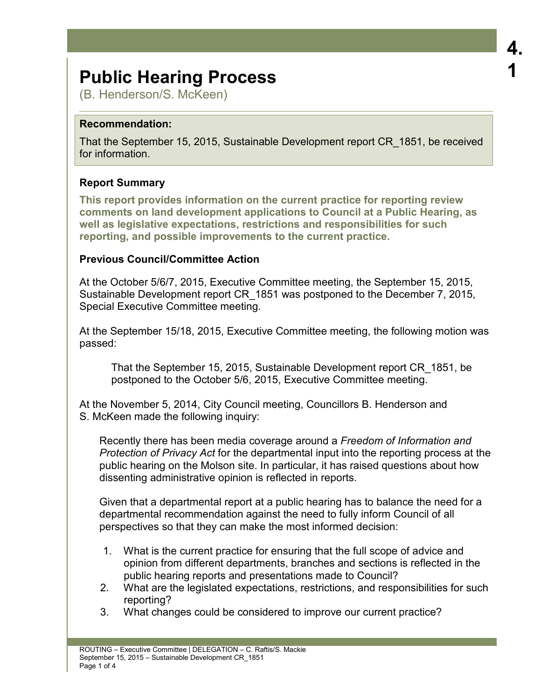# **Public Hearing Process**

(B. Henderson/S. McKeen)

## **Recommendation:**

That the September 15, 2015, Sustainable Development report CR\_1851, be received for information.

## **Report Summary**

**This report provides information on the current practice for reporting review comments on land development applications to Council at a Public Hearing, as well as legislative expectations, restrictions and responsibilities for such reporting, and possible improvements to the current practice.** 

## **Previous Council/Committee Action**

At the October 5/6/7, 2015, Executive Committee meeting, the September 15, 2015, Sustainable Development report CR\_1851 was postponed to the December 7, 2015, Special Executive Committee meeting.

At the September 15/18, 2015, Executive Committee meeting, the following motion was passed:

That the September 15, 2015, Sustainable Development report CR\_1851, be postponed to the October 5/6, 2015, Executive Committee meeting.

At the November 5, 2014, City Council meeting, Councillors B. Henderson and S. McKeen made the following inquiry:

 Recently there has been media coverage around a *Freedom of Information and Protection of Privacy Act* for the departmental input into the reporting process at the public hearing on the Molson site. In particular, it has raised questions about how dissenting administrative opinion is reflected in reports.

 Given that a departmental report at a public hearing has to balance the need for a departmental recommendation against the need to fully inform Council of all perspectives so that they can make the most informed decision:

- 1. What is the current practice for ensuring that the full scope of advice and opinion from different departments, branches and sections is reflected in the public hearing reports and presentations made to Council?
- 2. What are the legislated expectations, restrictions, and responsibilities for such reporting?
- 3. What changes could be considered to improve our current practice?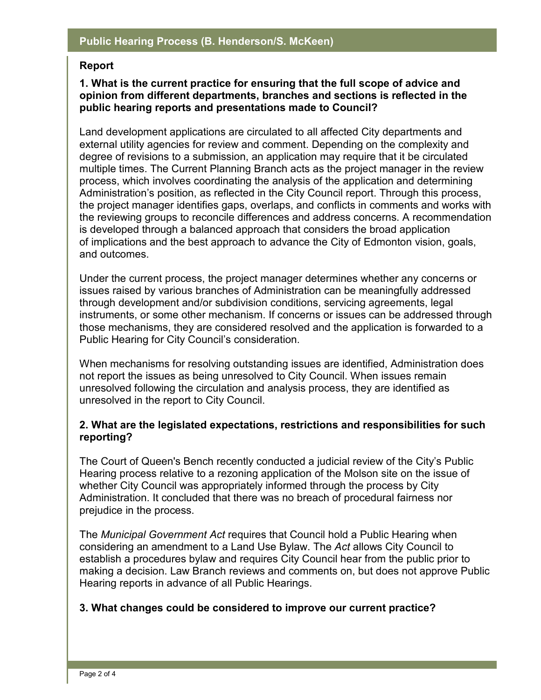#### **Report**

#### **1. What is the current practice for ensuring that the full scope of advice and opinion from different departments, branches and sections is reflected in the public hearing reports and presentations made to Council?**

Land development applications are circulated to all affected City departments and external utility agencies for review and comment. Depending on the complexity and degree of revisions to a submission, an application may require that it be circulated multiple times. The Current Planning Branch acts as the project manager in the review process, which involves coordinating the analysis of the application and determining Administration's position, as reflected in the City Council report. Through this process, the project manager identifies gaps, overlaps, and conflicts in comments and works with the reviewing groups to reconcile differences and address concerns. A recommendation is developed through a balanced approach that considers the broad application of implications and the best approach to advance the City of Edmonton vision, goals, and outcomes.

Under the current process, the project manager determines whether any concerns or issues raised by various branches of Administration can be meaningfully addressed through development and/or subdivision conditions, servicing agreements, legal instruments, or some other mechanism. If concerns or issues can be addressed through those mechanisms, they are considered resolved and the application is forwarded to a Public Hearing for City Council's consideration.

When mechanisms for resolving outstanding issues are identified, Administration does not report the issues as being unresolved to City Council. When issues remain unresolved following the circulation and analysis process, they are identified as unresolved in the report to City Council.

#### **2. What are the legislated expectations, restrictions and responsibilities for such reporting?**

The Court of Queen's Bench recently conducted a judicial review of the City's Public Hearing process relative to a rezoning application of the Molson site on the issue of whether City Council was appropriately informed through the process by City Administration. It concluded that there was no breach of procedural fairness nor prejudice in the process.

The *Municipal Government Act* requires that Council hold a Public Hearing when considering an amendment to a Land Use Bylaw. The *Act* allows City Council to establish a procedures bylaw and requires City Council hear from the public prior to making a decision. Law Branch reviews and comments on, but does not approve Public Hearing reports in advance of all Public Hearings.

#### **3. What changes could be considered to improve our current practice?**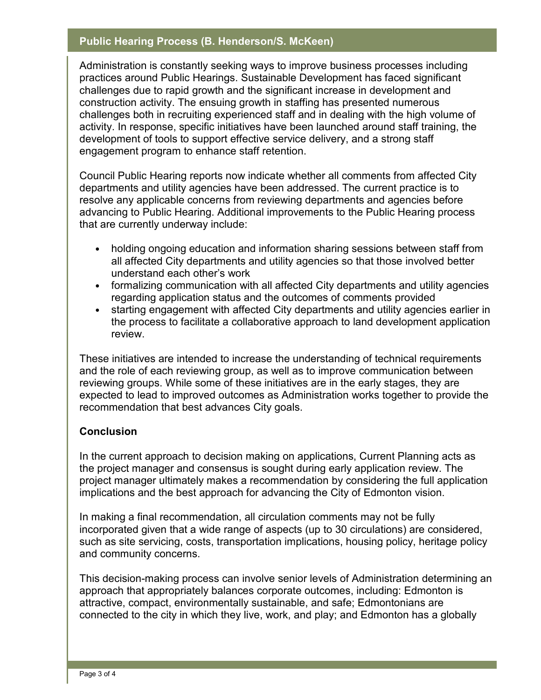#### **Public Hearing Process (B. Henderson/S. McKeen)**

Administration is constantly seeking ways to improve business processes including practices around Public Hearings. Sustainable Development has faced significant challenges due to rapid growth and the significant increase in development and construction activity. The ensuing growth in staffing has presented numerous challenges both in recruiting experienced staff and in dealing with the high volume of activity. In response, specific initiatives have been launched around staff training, the development of tools to support effective service delivery, and a strong staff engagement program to enhance staff retention.

Council Public Hearing reports now indicate whether all comments from affected City departments and utility agencies have been addressed. The current practice is to resolve any applicable concerns from reviewing departments and agencies before advancing to Public Hearing. Additional improvements to the Public Hearing process that are currently underway include:

- holding ongoing education and information sharing sessions between staff from all affected City departments and utility agencies so that those involved better understand each other's work
- formalizing communication with all affected City departments and utility agencies regarding application status and the outcomes of comments provided
- starting engagement with affected City departments and utility agencies earlier in the process to facilitate a collaborative approach to land development application review.

These initiatives are intended to increase the understanding of technical requirements and the role of each reviewing group, as well as to improve communication between reviewing groups. While some of these initiatives are in the early stages, they are expected to lead to improved outcomes as Administration works together to provide the recommendation that best advances City goals.

## **Conclusion**

In the current approach to decision making on applications, Current Planning acts as the project manager and consensus is sought during early application review. The project manager ultimately makes a recommendation by considering the full application implications and the best approach for advancing the City of Edmonton vision.

In making a final recommendation, all circulation comments may not be fully incorporated given that a wide range of aspects (up to 30 circulations) are considered, such as site servicing, costs, transportation implications, housing policy, heritage policy and community concerns.

This decision-making process can involve senior levels of Administration determining an approach that appropriately balances corporate outcomes, including: Edmonton is attractive, compact, environmentally sustainable, and safe; Edmontonians are connected to the city in which they live, work, and play; and Edmonton has a globally